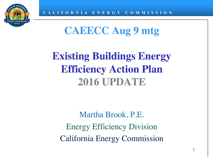

# **CAEECC Aug 9 mtg**

# **Existing Buildings Energy Efficiency Action Plan 2016 UPDATE**

Martha Brook, P.E. Energy Efficiency Division California Energy Commission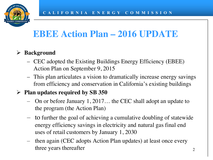

## **EBEE Action Plan – 2016 UPDATE**

### Ø **Background**

- CEC adopted the Existing Buildings Energy Efficiency (EBEE) Action Plan on September 9, 2015
- This plan articulates a vision to dramatically increase energy savings from efficiency and conservation in California's existing buildings

#### Ø **Plan updates required by SB 350**

- On or before January 1, 2017… the CEC shall adopt an update to the program (the Action Plan)
- to further the goal of achieving a cumulative doubling of statewide energy efficiency savings in electricity and natural gas final end uses of retail customers by January 1, 2030
- then again (CEC adopts Action Plan updates) at least once every three years thereafter  $\frac{2}{3}$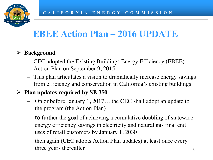

## **EBEE Action Plan – 2016 UPDATE**

### Ø **Background**

- CEC adopted the Existing Buildings Energy Efficiency (EBEE) Action Plan on September 9, 2015
- This plan articulates a vision to dramatically increase energy savings from efficiency and conservation in California's existing buildings

#### Ø **Plan updates required by SB 350**

- On or before January 1, 2017… the CEC shall adopt an update to the program (the Action Plan)
- to further the goal of achieving a cumulative doubling of statewide energy efficiency savings in electricity and natural gas final end uses of retail customers by January 1, 2030
- then again (CEC adopts Action Plan updates) at least once every three years thereafter 3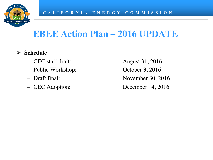

## **EBEE Action Plan – 2016 UPDATE**

- Ø **Schedule**
	- CEC staff draft: August 31, 2016
	- Public Workshop: October 3, 2016
	-
	-

– Draft final: November 30, 2016 – CEC Adoption: December 14, 2016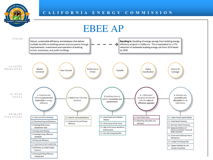

### EBEE AP